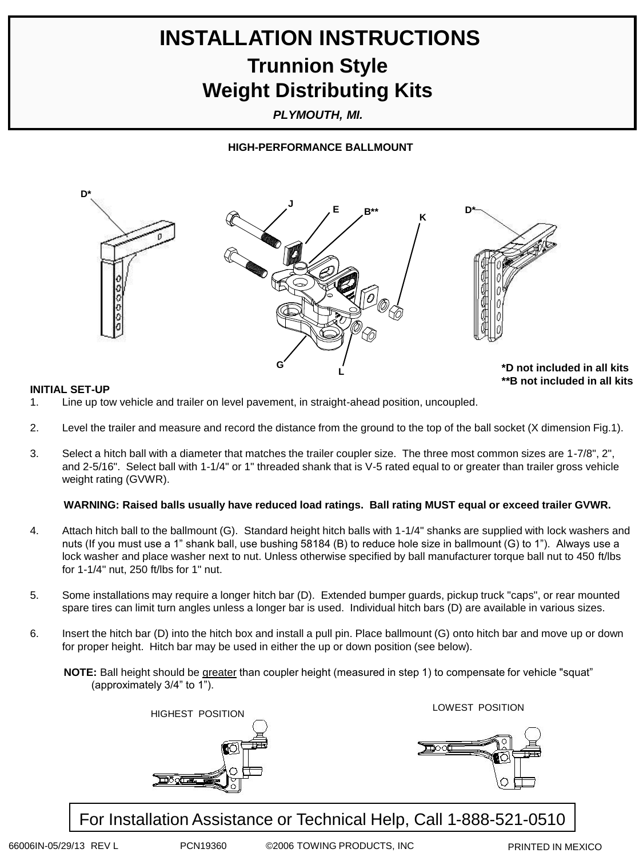# **INSTALLATION INSTRUCTIONS Trunnion Style Weight Distributing Kits**

*PLYMOUTH, MI.*

### **HIGH-PERFORMANCE BALLMOUNT**



**INITIAL SET-UP**

- 1. Line up tow vehicle and trailer on level pavement, in straight-ahead position, uncoupled.
- 2. Level the trailer and measure and record the distance from the ground to the top of the ball socket (X dimension Fig.1).
- 3. Select a hitch ball with a diameter that matches the trailer coupler size. The three most common sizes are 1-7/8", 2", and 2-5/16". Select ball with 1-1/4" or 1" threaded shank that is V-5 rated equal to or greater than trailer gross vehicle weight rating (GVWR).

### **WARNING: Raised balls usually have reduced load ratings. Ball rating MUST equal or exceed trailer GVWR.**

- 4. Attach hitch ball to the ballmount (G). Standard height hitch balls with 1-1/4" shanks are supplied with lock washers and nuts (If you must use a 1" shank ball, use bushing 58184 (B) to reduce hole size in ballmount (G) to 1"). Always use a lock washer and place washer next to nut. Unless otherwise specified by ball manufacturer torque ball nut to 450 ft/lbs for 1-1/4" nut, 250 ft/lbs for 1" nut.
- 5. Some installations may require a longer hitch bar (D). Extended bumper guards, pickup truck "caps", or rear mounted spare tires can limit turn angles unless a longer bar is used. Individual hitch bars (D) are available in various sizes.
- 6. Insert the hitch bar (D) into the hitch box and install a pull pin. Place ballmount (G) onto hitch bar and move up or down for proper height. Hitch bar may be used in either the up or down position (see below).

**NOTE:** Ball height should be greater than coupler height (measured in step 1) to compensate for vehicle "squat" (approximately 3/4" to 1").



For Installation Assistance or Technical Help, Call 1-888-521-0510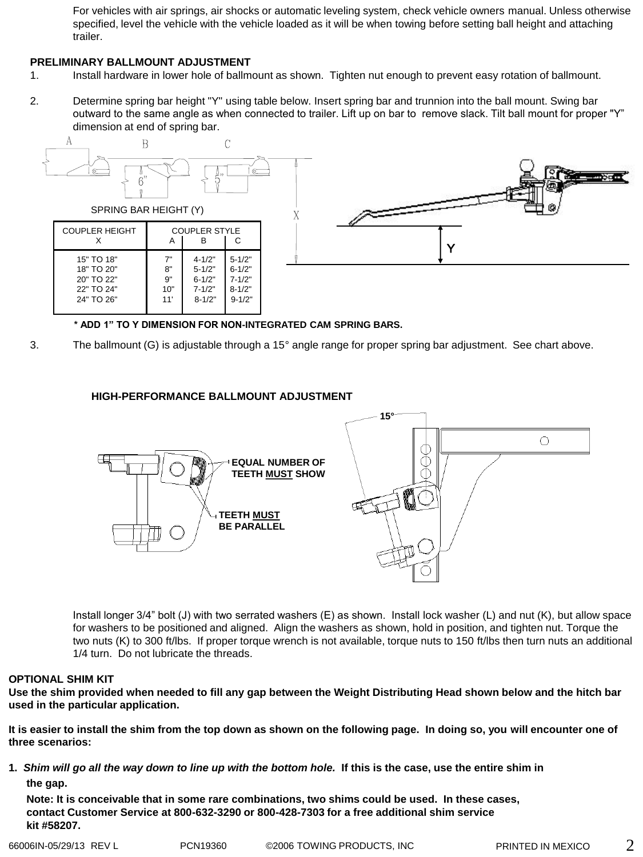For vehicles with air springs, air shocks or automatic leveling system, check vehicle owners manual. Unless otherwise specified, level the vehicle with the vehicle loaded as it will be when towing before setting ball height and attaching trailer.

### **PRELIMINARY BALLMOUNT ADJUSTMENT**

- 1. Install hardware in lower hole of ballmount as shown. Tighten nut enough to prevent easy rotation of ballmount.
- 2. Determine spring bar height "Y" using table below. Insert spring bar and trunnion into the ball mount. Swing bar outward to the same angle as when connected to trailer. Lift up on bar to remove slack. Tilt ball mount for proper "Y" dimension at end of spring bar.



**\* ADD 1" TO Y DIMENSION FOR NON-INTEGRATED CAM SPRING BARS.**

3. The ballmount (G) is adjustable through a 15° angle range for proper spring bar adjustment. See chart above.

### **HIGH-PERFORMANCE BALLMOUNT ADJUSTMENT**



Install longer 3/4" bolt (J) with two serrated washers (E) as shown. Install lock washer (L) and nut (K), but allow space for washers to be positioned and aligned. Align the washers as shown, hold in position, and tighten nut. Torque the two nuts (K) to 300 ft/lbs. If proper torque wrench is not available, torque nuts to 150 ft/lbs then turn nuts an additional 1/4 turn. Do not lubricate the threads.

### **OPTIONAL SHIM KIT**

**Use the shim provided when needed to fill any gap between the Weight Distributing Head shown below and the hitch bar used in the particular application.**

**It is easier to install the shim from the top down as shown on the following page. In doing so, you will encounter one of three scenarios:**

**1.** *Shim will go all the way down to line up with the bottom hole.* **If this is the case, use the entire shim in the gap.**

 **Note: It is conceivable that in some rare combinations, two shims could be used. In these cases, contact Customer Service at 800-632-3290 or 800-428-7303 for a free additional shim service kit #58207.**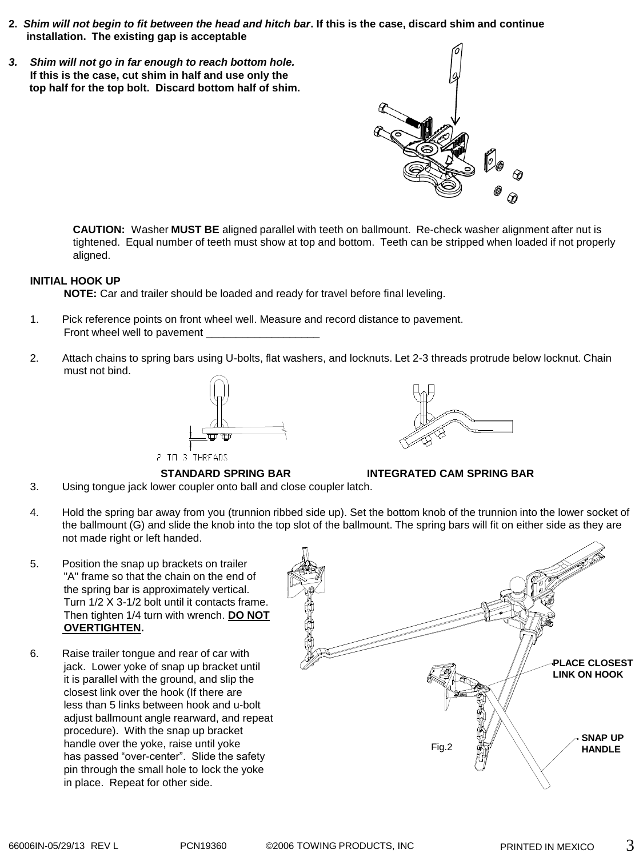- **2.** *Shim will not begin to fit between the head and hitch bar***. If this is the case, discard shim and continue installation. The existing gap is acceptable**
- *3. Shim will not go in far enough to reach bottom hole.* **If this is the case, cut shim in half and use only the top half for the top bolt. Discard bottom half of shim.**

**CAUTION:** Washer **MUST BE** aligned parallel with teeth on ballmount. Re-check washer alignment after nut is tightened. Equal number of teeth must show at top and bottom. Teeth can be stripped when loaded if not properly aligned.

### **INITIAL HOOK UP**

**NOTE:** Car and trailer should be loaded and ready for travel before final leveling.

- 1. Pick reference points on front wheel well. Measure and record distance to pavement. Front wheel well to pavement
- 2. Attach chains to spring bars using U-bolts, flat washers, and locknuts. Let 2-3 threads protrude below locknut. Chain must not bind.



2 TO 3 THREADS



3. Using tongue jack lower coupler onto ball and close coupler latch.



**STANDARD SPRING BAR INTEGRATED CAM SPRING BAR**

- 4. Hold the spring bar away from you (trunnion ribbed side up). Set the bottom knob of the trunnion into the lower socket of the ballmount (G) and slide the knob into the top slot of the ballmount. The spring bars will fit on either side as they are not made right or left handed.
- 5. Position the snap up brackets on trailer "A" frame so that the chain on the end of the spring bar is approximately vertical. Turn 1/2 X 3-1/2 bolt until it contacts frame. Then tighten 1/4 turn with wrench. **DO NOT OVERTIGHTEN.**
- 6. Raise trailer tongue and rear of car with jack. Lower yoke of snap up bracket until it is parallel with the ground, and slip the closest link over the hook (If there are less than 5 links between hook and u-bolt adjust ballmount angle rearward, and repeat procedure). With the snap up bracket handle over the yoke, raise until yoke has passed "over-center". Slide the safety pin through the small hole to lock the yoke in place. Repeat for other side.

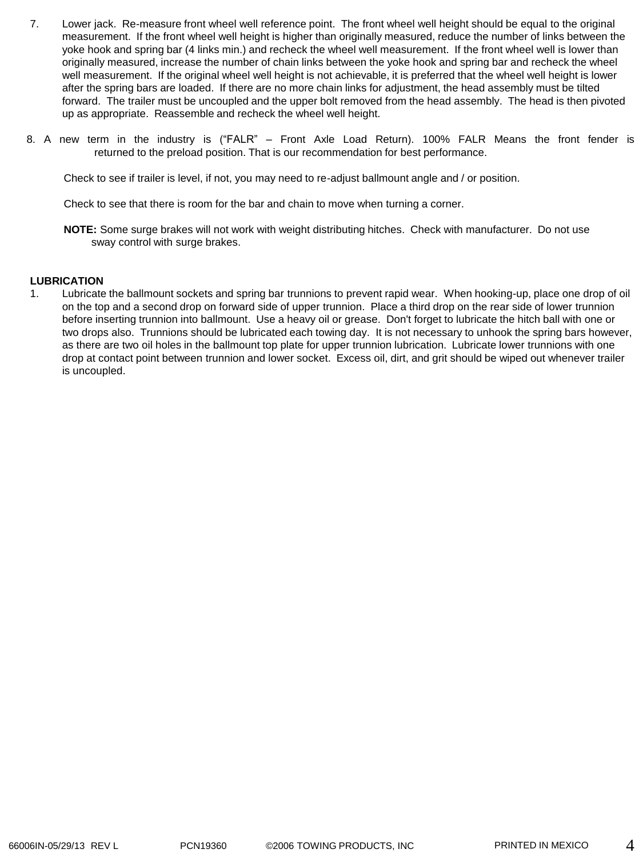- 7. Lower jack. Re-measure front wheel well reference point. The front wheel well height should be equal to the original measurement. If the front wheel well height is higher than originally measured, reduce the number of links between the yoke hook and spring bar (4 links min.) and recheck the wheel well measurement. If the front wheel well is lower than originally measured, increase the number of chain links between the yoke hook and spring bar and recheck the wheel well measurement. If the original wheel well height is not achievable, it is preferred that the wheel well height is lower after the spring bars are loaded. If there are no more chain links for adjustment, the head assembly must be tilted forward. The trailer must be uncoupled and the upper bolt removed from the head assembly. The head is then pivoted up as appropriate. Reassemble and recheck the wheel well height.
- 8. A new term in the industry is ("FALR" Front Axle Load Return). 100% FALR Means the front fender is returned to the preload position. That is our recommendation for best performance.

Check to see if trailer is level, if not, you may need to re-adjust ballmount angle and / or position.

Check to see that there is room for the bar and chain to move when turning a corner.

**NOTE:** Some surge brakes will not work with weight distributing hitches. Check with manufacturer. Do not use sway control with surge brakes.

### **LUBRICATION**

1. Lubricate the ballmount sockets and spring bar trunnions to prevent rapid wear. When hooking-up, place one drop of oil on the top and a second drop on forward side of upper trunnion. Place a third drop on the rear side of lower trunnion before inserting trunnion into ballmount. Use a heavy oil or grease. Don't forget to lubricate the hitch ball with one or two drops also. Trunnions should be lubricated each towing day. It is not necessary to unhook the spring bars however, as there are two oil holes in the ballmount top plate for upper trunnion lubrication. Lubricate lower trunnions with one drop at contact point between trunnion and lower socket. Excess oil, dirt, and grit should be wiped out whenever trailer is uncoupled.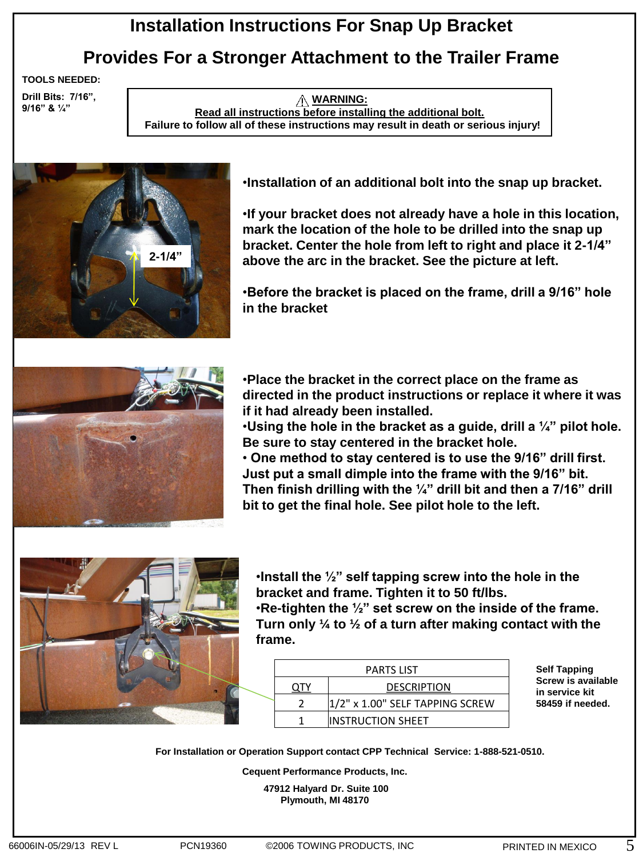## **Installation Instructions For Snap Up Bracket**

## **Provides For a Stronger Attachment to the Trailer Frame**

**TOOLS NEEDED:**

**Drill Bits: 7/16", 9/16" & ¼"**

**WARNING: Read all instructions before installing the additional bolt. Failure to follow all of these instructions may result in death or serious injury!**



•**Installation of an additional bolt into the snap up bracket.**

•**If your bracket does not already have a hole in this location, mark the location of the hole to be drilled into the snap up bracket. Center the hole from left to right and place it 2-1/4" above the arc in the bracket. See the picture at left.**

•**Before the bracket is placed on the frame, drill a 9/16" hole in the bracket**



•**Place the bracket in the correct place on the frame as directed in the product instructions or replace it where it was if it had already been installed.**

•**Using the hole in the bracket as a guide, drill a ¼" pilot hole. Be sure to stay centered in the bracket hole.**

• **One method to stay centered is to use the 9/16" drill first. Just put a small dimple into the frame with the 9/16" bit. Then finish drilling with the ¼" drill bit and then a 7/16" drill bit to get the final hole. See pilot hole to the left.**



•**Install the ½" self tapping screw into the hole in the bracket and frame. Tighten it to 50 ft/lbs.**

•**Re-tighten the ½" set screw on the inside of the frame. Turn only ¼ to ½ of a turn after making contact with the frame.**

|  | <b>PARTS LIST</b>                  |
|--|------------------------------------|
|  | <b>DESCRIPTION</b>                 |
|  | $ 1/2"$ x 1.00" SELF TAPPING SCREW |
|  | <b>IINSTRUCTION SHEET</b>          |

**Self Tapping Screw is available in service kit 58459 if needed.**

**For Installation or Operation Support contact CPP Technical Service: 1-888-521-0510.** 

**Cequent Performance Products, Inc.**

**47912 Halyard Dr. Suite 100 Plymouth, MI 48170**

5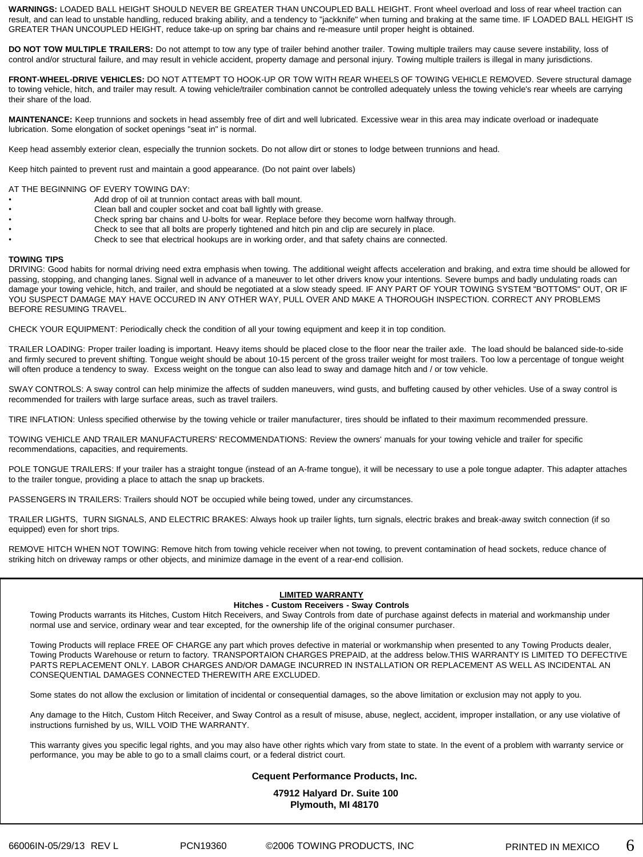**WARNINGS:** LOADED BALL HEIGHT SHOULD NEVER BE GREATER THAN UNCOUPLED BALL HEIGHT. Front wheel overload and loss of rear wheel traction can result, and can lead to unstable handling, reduced braking ability, and a tendency to "jackknife" when turning and braking at the same time. IF LOADED BALL HEIGHT IS GREATER THAN UNCOUPLED HEIGHT, reduce take-up on spring bar chains and re-measure until proper height is obtained.

**DO NOT TOW MULTIPLE TRAILERS:** Do not attempt to tow any type of trailer behind another trailer. Towing multiple trailers may cause severe instability, loss of control and/or structural failure, and may result in vehicle accident, property damage and personal injury. Towing multiple trailers is illegal in many jurisdictions.

**FRONT-WHEEL-DRIVE VEHICLES:** DO NOT ATTEMPT TO HOOK-UP OR TOW WITH REAR WHEELS OF TOWING VEHICLE REMOVED. Severe structural damage to towing vehicle, hitch, and trailer may result. A towing vehicle/trailer combination cannot be controlled adequately unless the towing vehicle's rear wheels are carrying their share of the load.

**MAINTENANCE:** Keep trunnions and sockets in head assembly free of dirt and well lubricated. Excessive wear in this area may indicate overload or inadequate lubrication. Some elongation of socket openings "seat in" is normal.

Keep head assembly exterior clean, especially the trunnion sockets. Do not allow dirt or stones to lodge between trunnions and head.

Keep hitch painted to prevent rust and maintain a good appearance. (Do not paint over labels)

AT THE BEGINNING OF EVERY TOWING DAY:

- Add drop of oil at trunnion contact areas with ball mount.
- Clean ball and coupler socket and coat ball lightly with grease.
	- Check spring bar chains and U-bolts for wear. Replace before they become worn halfway through.
- Check to see that all bolts are properly tightened and hitch pin and clip are securely in place.
- Check to see that electrical hookups are in working order, and that safety chains are connected.

#### **TOWING TIPS**

DRIVING: Good habits for normal driving need extra emphasis when towing. The additional weight affects acceleration and braking, and extra time should be allowed for passing, stopping, and changing lanes. Signal well in advance of a maneuver to let other drivers know your intentions. Severe bumps and badly undulating roads can damage your towing vehicle, hitch, and trailer, and should be negotiated at a slow steady speed. IF ANY PART OF YOUR TOWING SYSTEM "BOTTOMS" OUT, OR IF YOU SUSPECT DAMAGE MAY HAVE OCCURED IN ANY OTHER WAY, PULL OVER AND MAKE A THOROUGH INSPECTION. CORRECT ANY PROBLEMS BEFORE RESUMING TRAVEL.

CHECK YOUR EQUIPMENT: Periodically check the condition of all your towing equipment and keep it in top condition.

TRAILER LOADING: Proper trailer loading is important. Heavy items should be placed close to the floor near the trailer axle. The load should be balanced side-to-side and firmly secured to prevent shifting. Tongue weight should be about 10-15 percent of the gross trailer weight for most trailers. Too low a percentage of tongue weight will often produce a tendency to sway. Excess weight on the tongue can also lead to sway and damage hitch and / or tow vehicle.

SWAY CONTROLS: A sway control can help minimize the affects of sudden maneuvers, wind gusts, and buffeting caused by other vehicles. Use of a sway control is recommended for trailers with large surface areas, such as travel trailers.

TIRE INFLATION: Unless specified otherwise by the towing vehicle or trailer manufacturer, tires should be inflated to their maximum recommended pressure.

TOWING VEHICLE AND TRAILER MANUFACTURERS' RECOMMENDATIONS: Review the owners' manuals for your towing vehicle and trailer for specific recommendations, capacities, and requirements.

POLE TONGUE TRAILERS: If your trailer has a straight tongue (instead of an A-frame tongue), it will be necessary to use a pole tongue adapter. This adapter attaches to the trailer tongue, providing a place to attach the snap up brackets.

PASSENGERS IN TRAILERS: Trailers should NOT be occupied while being towed, under any circumstances.

TRAILER LIGHTS, TURN SIGNALS, AND ELECTRIC BRAKES: Always hook up trailer lights, turn signals, electric brakes and break-away switch connection (if so equipped) even for short trips.

REMOVE HITCH WHEN NOT TOWING: Remove hitch from towing vehicle receiver when not towing, to prevent contamination of head sockets, reduce chance of striking hitch on driveway ramps or other objects, and minimize damage in the event of a rear-end collision.

### **LIMITED WARRANTY**

### **Hitches - Custom Receivers - Sway Controls**

Towing Products warrants its Hitches, Custom Hitch Receivers, and Sway Controls from date of purchase against defects in material and workmanship under normal use and service, ordinary wear and tear excepted, for the ownership life of the original consumer purchaser.

Towing Products will replace FREE OF CHARGE any part which proves defective in material or workmanship when presented to any Towing Products dealer, Towing Products Warehouse or return to factory. TRANSPORTAION CHARGES PREPAID, at the address below.THIS WARRANTY IS LIMITED TO DEFECTIVE PARTS REPLACEMENT ONLY. LABOR CHARGES AND/OR DAMAGE INCURRED IN INSTALLATION OR REPLACEMENT AS WELL AS INCIDENTAL AN CONSEQUENTIAL DAMAGES CONNECTED THEREWITH ARE EXCLUDED.

Some states do not allow the exclusion or limitation of incidental or consequential damages, so the above limitation or exclusion may not apply to you.

Any damage to the Hitch, Custom Hitch Receiver, and Sway Control as a result of misuse, abuse, neglect, accident, improper installation, or any use violative of instructions furnished by us, WILL VOID THE WARRANTY.

This warranty gives you specific legal rights, and you may also have other rights which vary from state to state. In the event of a problem with warranty service or performance, you may be able to go to a small claims court, or a federal district court.

### **Cequent Performance Products, Inc.**

**47912 Halyard Dr. Suite 100 Plymouth, MI 48170**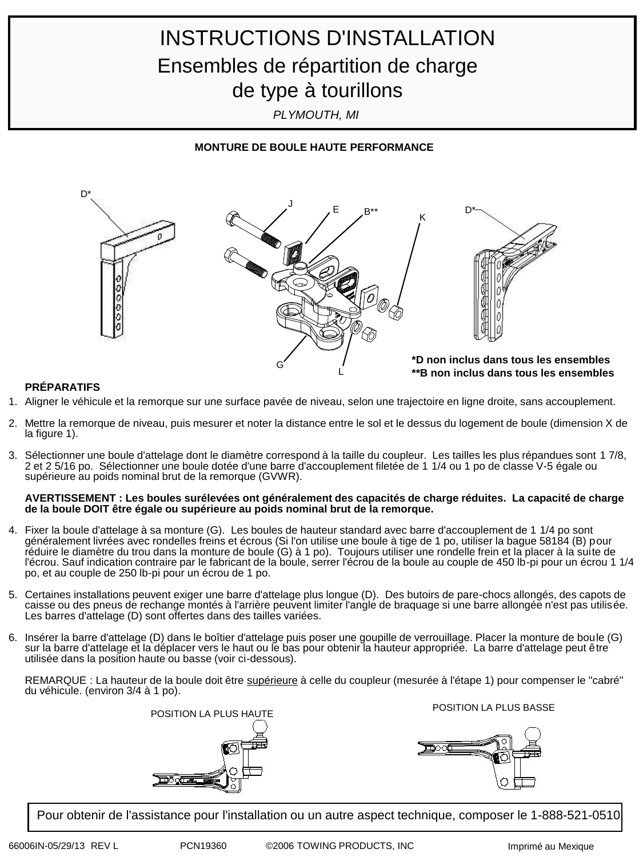# INSTRUCTIONS D'INSTALLATION Ensembles de répartition de charge de type à tourillons

*PLYMOUTH, MI*

### **MONTURE DE BOULE HAUTE PERFORMANCE**



### **PRÉPARATIFS**

- 1. Aligner le véhicule et la remorque sur une surface pavée de niveau, selon une trajectoire en ligne droite, sans accouplement.
- 2. Mettre la remorque de niveau, puis mesurer et noter la distance entre le sol et le dessus du logement de boule (dimension X de la figure 1).
- 3. Sélectionner une boule d'attelage dont le diamètre correspond à la taille du coupleur. Les tailles les plus répandues sont 1 7/8, 2 et 2 5/16 po. Sélectionner une boule dotée d'une barre d'accouplement filetée de 1 1/4 ou 1 po de classe V-5 égale ou supérieure au poids nominal brut de la remorque (GVWR).

### **AVERTISSEMENT : Les boules surélevées ont généralement des capacités de charge réduites. La capacité de charge de la boule DOIT être égale ou supérieure au poids nominal brut de la remorque.**

- 4. Fixer la boule d'attelage à sa monture (G). Les boules de hauteur standard avec barre d'accouplement de 1 1/4 po sont généralement livrées avec rondelles freins et écrous (Si l'on utilise une boule à tige de 1 po, utiliser la bague 58184 (B) pour réduire le diamètre du trou dans la monture de boule (G) à 1 po). Toujours utiliser une rondelle frein et la placer à la suite de l'écrou. Sauf indication contraire par le fabricant de la boule, serrer l'écrou de la boule au couple de 450 lb-pi pour un écrou 1 1/4 po, et au couple de 250 lb-pi pour un écrou de 1 po.
- 5. Certaines installations peuvent exiger une barre d'attelage plus longue (D). Des butoirs de pare-chocs allongés, des capots de caisse ou des pneus de rechange montés à l'arrière peuvent limiter l'angle de braquage si une barre allongée n'est pas utilisée. Les barres d'attelage (D) sont offertes dans des tailles variées.
- 6. Insérer la barre d'attelage (D) dans le boîtier d'attelage puis poser une goupille de verrouillage. Placer la monture de boule (G) sur la barre d'attelage et la déplacer vers le haut ou le bas pour obtenir la hauteur appropriée. La barre d'attelage peut être utilisée dans la position haute ou basse (voir ci-dessous).

REMARQUE : La hauteur de la boule doit être supérieure à celle du coupleur (mesurée à l'étape 1) pour compenser le "cabré" du véhicule. (environ 3/4 à 1 po).



Pour obtenir de l'assistance pour l'installation ou un autre aspect technique, composer le 1-888-521-0510.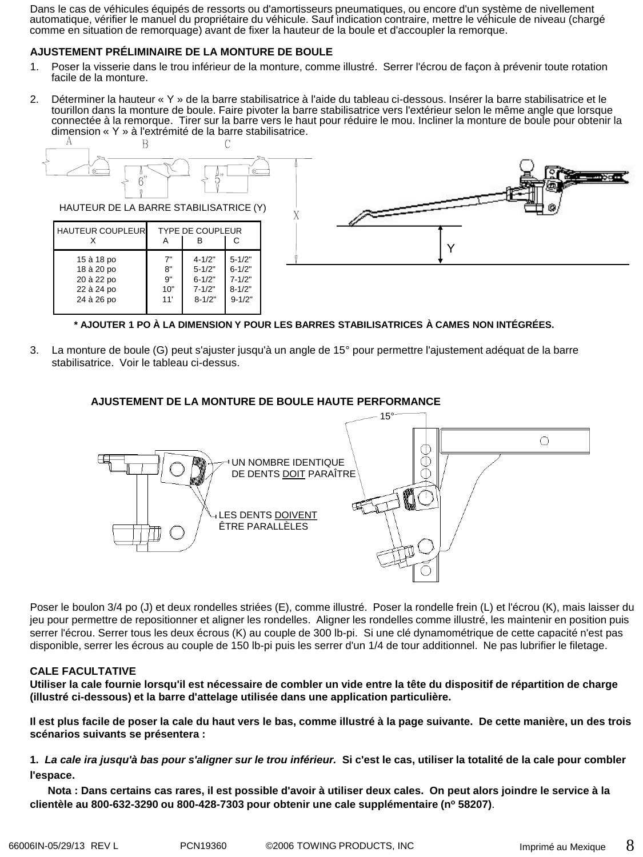Dans le cas de véhicules équipés de ressorts ou d'amortisseurs pneumatiques, ou encore d'un système de nivellement automatique, vérifier le manuel du propriétaire du véhicule. Sauf indication contraire, mettre le véhicule de niveau (chargé comme en situation de remorquage) avant de fixer la hauteur de la boule et d'accoupler la remorque.

### **AJUSTEMENT PRÉLIMINAIRE DE LA MONTURE DE BOULE**

- 1. Poser la visserie dans le trou inférieur de la monture, comme illustré. Serrer l'écrou de façon à prévenir toute rotation facile de la monture.
- 2. Déterminer la hauteur « Y » de la barre stabilisatrice à l'aide du tableau ci-dessous. Insérer la barre stabilisatrice et le tourillon dans la monture de boule. Faire pivoter la barre stabilisatrice vers l'extérieur selon le même angle que lorsque connectée à la remorque. Tirer sur la barre vers le haut pour réduire le mou. Incliner la monture de boule pour obtenir la dimension « Y » à l'extrémité de la barre stabilisatrice.<br>  $A$



**\* AJOUTER 1 PO À LA DIMENSION Y POUR LES BARRES STABILISATRICES À CAMES NON INTÉGRÉES.**

3. La monture de boule (G) peut s'ajuster jusqu'à un angle de 15° pour permettre l'ajustement adéquat de la barre stabilisatrice. Voir le tableau ci-dessus.

### **AJUSTEMENT DE LA MONTURE DE BOULE HAUTE PERFORMANCE**



Poser le boulon 3/4 po (J) et deux rondelles striées (E), comme illustré. Poser la rondelle frein (L) et l'écrou (K), mais laisser du jeu pour permettre de repositionner et aligner les rondelles. Aligner les rondelles comme illustré, les maintenir en position puis serrer l'écrou. Serrer tous les deux écrous (K) au couple de 300 lb-pi. Si une clé dynamométrique de cette capacité n'est pas disponible, serrer les écrous au couple de 150 lb-pi puis les serrer d'un 1/4 de tour additionnel. Ne pas lubrifier le filetage.

### **CALE FACULTATIVE**

**Utiliser la cale fournie lorsqu'il est nécessaire de combler un vide entre la tête du dispositif de répartition de charge (illustré ci-dessous) et la barre d'attelage utilisée dans une application particulière.**

**Il est plus facile de poser la cale du haut vers le bas, comme illustré à la page suivante. De cette manière, un des trois scénarios suivants se présentera :**

**1.** *La cale ira jusqu'à bas pour s'aligner sur le trou inférieur.* **Si c'est le cas, utiliser la totalité de la cale pour combler l'espace.**

 **Nota : Dans certains cas rares, il est possible d'avoir à utiliser deux cales. On peut alors joindre le service à la clientèle au 800-632-3290 ou 800-428-7303 pour obtenir une cale supplémentaire (n<sup>o</sup> 58207)**.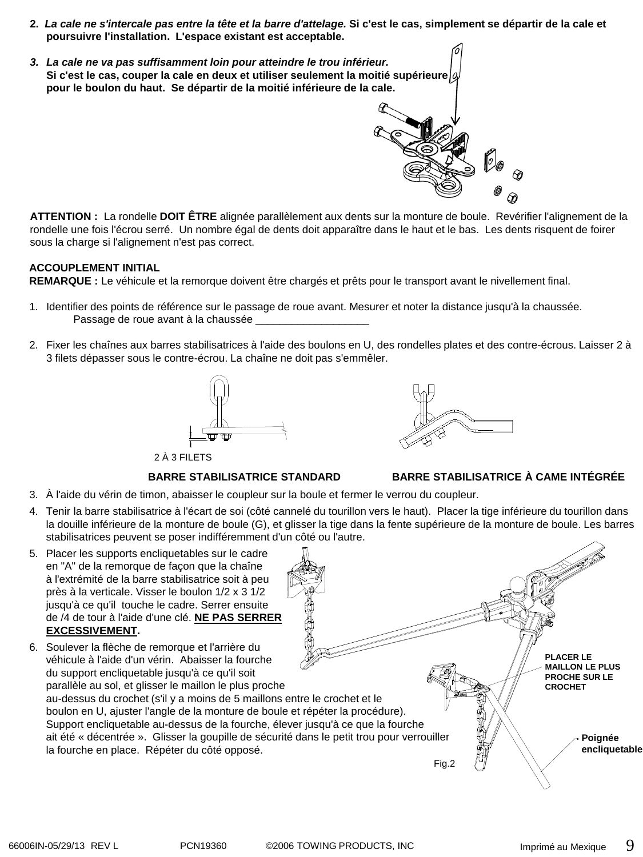- **2.** *La cale ne s'intercale pas entre la tête et la barre d'attelage.* **Si c'est le cas, simplement se départir de la cale et poursuivre l'installation. L'espace existant est acceptable.**
- *3. La cale ne va pas suffisamment loin pour atteindre le trou inférieur.* **Si c'est le cas, couper la cale en deux et utiliser seulement la moitié supérieure pour le boulon du haut. Se départir de la moitié inférieure de la cale.**

**ATTENTION :** La rondelle **DOIT ÊTRE** alignée parallèlement aux dents sur la monture de boule. Revérifier l'alignement de la rondelle une fois l'écrou serré. Un nombre égal de dents doit apparaître dans le haut et le bas. Les dents risquent de foirer sous la charge si l'alignement n'est pas correct.

### **ACCOUPLEMENT INITIAL**

**REMARQUE :** Le véhicule et la remorque doivent être chargés et prêts pour le transport avant le nivellement final.

- 1. Identifier des points de référence sur le passage de roue avant. Mesurer et noter la distance jusqu'à la chaussée. Passage de roue avant à la chaussée \_\_
- 2. Fixer les chaînes aux barres stabilisatrices à l'aide des boulons en U, des rondelles plates et des contre-écrous. Laisser 2 à 3 filets dépasser sous le contre-écrou. La chaîne ne doit pas s'emmêler.





### **BARRE STABILISATRICE STANDARD BARRE STABILISATRICE À CAME INTÉGRÉE**

- 3. À l'aide du vérin de timon, abaisser le coupleur sur la boule et fermer le verrou du coupleur.
- 4. Tenir la barre stabilisatrice à l'écart de soi (côté cannelé du tourillon vers le haut). Placer la tige inférieure du tourillon dans la douille inférieure de la monture de boule (G), et glisser la tige dans la fente supérieure de la monture de boule. Les barres stabilisatrices peuvent se poser indifféremment d'un côté ou l'autre.
- 5. Placer les supports encliquetables sur le cadre en "A" de la remorque de façon que la chaîne à l'extrémité de la barre stabilisatrice soit à peu près à la verticale. Visser le boulon 1/2 x 3 1/2 jusqu'à ce qu'il touche le cadre. Serrer ensuite de /4 de tour à l'aide d'une clé. **NE PAS SERRER EXCESSIVEMENT.**
- 6. Soulever la flèche de remorque et l'arrière du véhicule à l'aide d'un vérin. Abaisser la fourche du support encliquetable jusqu'à ce qu'il soit parallèle au sol, et glisser le maillon le plus proche au-dessus du crochet (s'il y a moins de 5 maillons entre le crochet et le boulon en U, ajuster l'angle de la monture de boule et répéter la procédure). Support encliquetable au-dessus de la fourche, élever jusqu'à ce que la fourche ait été « décentrée ». Glisser la goupille de sécurité dans le petit trou pour verrouiller la fourche en place. Répéter du côté opposé. Fig.2 **Poignée encliquetable PLACER LE MAILLON LE PLUS PROCHE SUR LE CROCHET**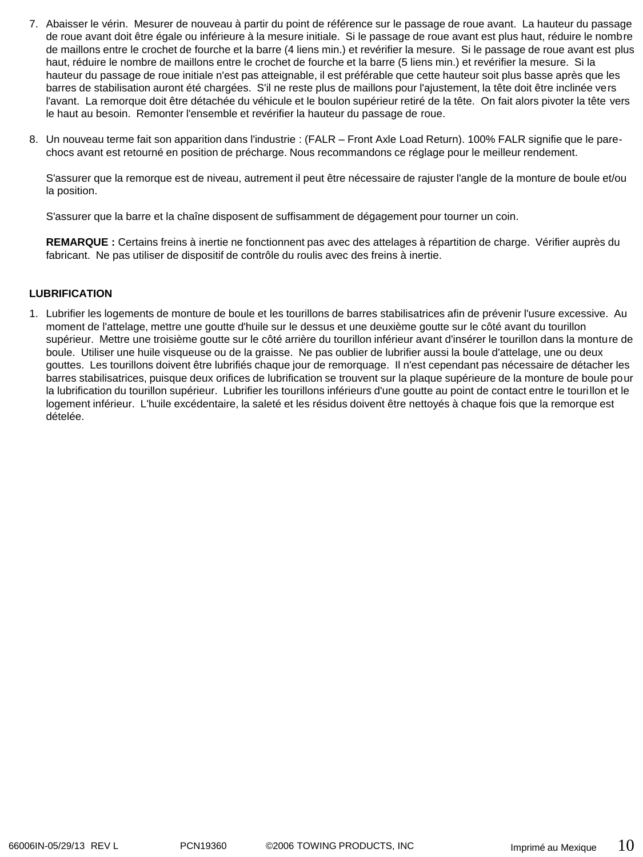- 7. Abaisser le vérin. Mesurer de nouveau à partir du point de référence sur le passage de roue avant. La hauteur du passage de roue avant doit être égale ou inférieure à la mesure initiale. Si le passage de roue avant est plus haut, réduire le nombre de maillons entre le crochet de fourche et la barre (4 liens min.) et revérifier la mesure. Si le passage de roue avant est plus haut, réduire le nombre de maillons entre le crochet de fourche et la barre (5 liens min.) et revérifier la mesure. Si la hauteur du passage de roue initiale n'est pas atteignable, il est préférable que cette hauteur soit plus basse après que les barres de stabilisation auront été chargées. S'il ne reste plus de maillons pour l'ajustement, la tête doit être inclinée vers l'avant. La remorque doit être détachée du véhicule et le boulon supérieur retiré de la tête. On fait alors pivoter la tête vers le haut au besoin. Remonter l'ensemble et revérifier la hauteur du passage de roue.
- 8. Un nouveau terme fait son apparition dans l'industrie : (FALR Front Axle Load Return). 100% FALR signifie que le parechocs avant est retourné en position de précharge. Nous recommandons ce réglage pour le meilleur rendement.

S'assurer que la remorque est de niveau, autrement il peut être nécessaire de rajuster l'angle de la monture de boule et/ou la position.

S'assurer que la barre et la chaîne disposent de suffisamment de dégagement pour tourner un coin.

**REMARQUE :** Certains freins à inertie ne fonctionnent pas avec des attelages à répartition de charge. Vérifier auprès du fabricant. Ne pas utiliser de dispositif de contrôle du roulis avec des freins à inertie.

### **LUBRIFICATION**

1. Lubrifier les logements de monture de boule et les tourillons de barres stabilisatrices afin de prévenir l'usure excessive. Au moment de l'attelage, mettre une goutte d'huile sur le dessus et une deuxième goutte sur le côté avant du tourillon supérieur. Mettre une troisième goutte sur le côté arrière du tourillon inférieur avant d'insérer le tourillon dans la monture de boule. Utiliser une huile visqueuse ou de la graisse. Ne pas oublier de lubrifier aussi la boule d'attelage, une ou deux gouttes. Les tourillons doivent être lubrifiés chaque jour de remorquage. Il n'est cependant pas nécessaire de détacher les barres stabilisatrices, puisque deux orifices de lubrification se trouvent sur la plaque supérieure de la monture de boule pour la lubrification du tourillon supérieur. Lubrifier les tourillons inférieurs d'une goutte au point de contact entre le tourillon et le logement inférieur. L'huile excédentaire, la saleté et les résidus doivent être nettoyés à chaque fois que la remorque est dételée.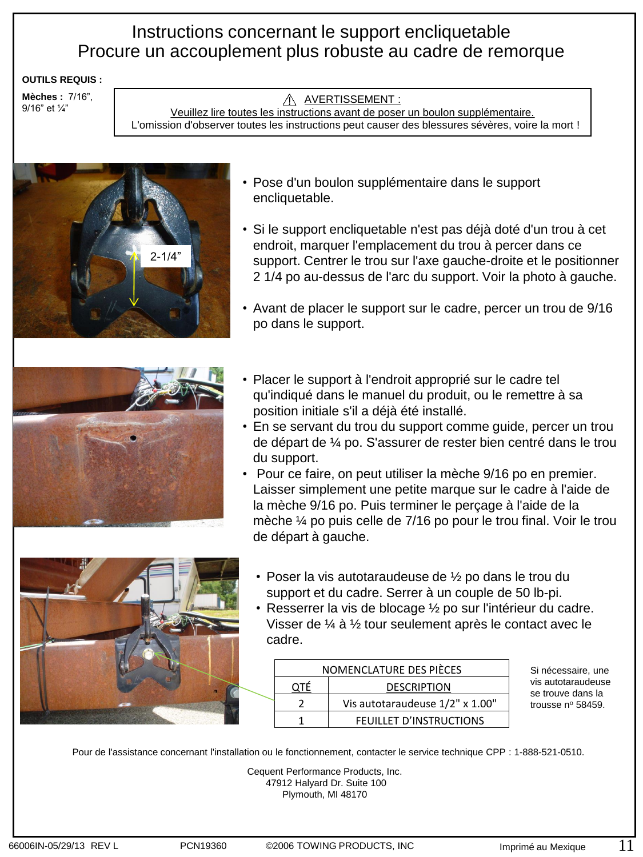### Instructions concernant le support encliquetable Procure un accouplement plus robuste au cadre de remorque

### **OUTILS REQUIS :**

**Mèches :** 7/16", 9/16" et ¼"

### A AVERTISSEMENT :

Veuillez lire toutes les instructions avant de poser un boulon supplémentaire. L'omission d'observer toutes les instructions peut causer des blessures sévères, voire la mort !



- Pose d'un boulon supplémentaire dans le support encliquetable.
- Si le support encliquetable n'est pas déjà doté d'un trou à cet endroit, marquer l'emplacement du trou à percer dans ce support. Centrer le trou sur l'axe gauche-droite et le positionner 2 1/4 po au-dessus de l'arc du support. Voir la photo à gauche.
- Avant de placer le support sur le cadre, percer un trou de 9/16 po dans le support.



- Placer le support à l'endroit approprié sur le cadre tel qu'indiqué dans le manuel du produit, ou le remettre à sa position initiale s'il a déjà été installé.
- En se servant du trou du support comme guide, percer un trou de départ de ¼ po. S'assurer de rester bien centré dans le trou du support.
- Pour ce faire, on peut utiliser la mèche 9/16 po en premier. Laisser simplement une petite marque sur le cadre à l'aide de la mèche 9/16 po. Puis terminer le perçage à l'aide de la mèche ¼ po puis celle de 7/16 po pour le trou final. Voir le trou de départ à gauche.



- Poser la vis autotaraudeuse de ½ po dans le trou du support et du cadre. Serrer à un couple de 50 lb-pi.
- Resserrer la vis de blocage ½ po sur l'intérieur du cadre. Visser de ¼ à ½ tour seulement après le contact avec le cadre.

|  | NOMENCLATURE DES PIÈCES |                                 |  |
|--|-------------------------|---------------------------------|--|
|  |                         | <b>DESCRIPTION</b>              |  |
|  |                         | Vis autotaraudeuse 1/2" x 1.00" |  |
|  |                         | FEUILLET D'INSTRUCTIONS         |  |

Si nécessaire, une vis autotaraudeuse se trouve dans la trousse nº 58459.

Pour de l'assistance concernant l'installation ou le fonctionnement, contacter le service technique CPP : 1-888-521-0510.

Cequent Performance Products, Inc. 47912 Halyard Dr. Suite 100 Plymouth, MI 48170

11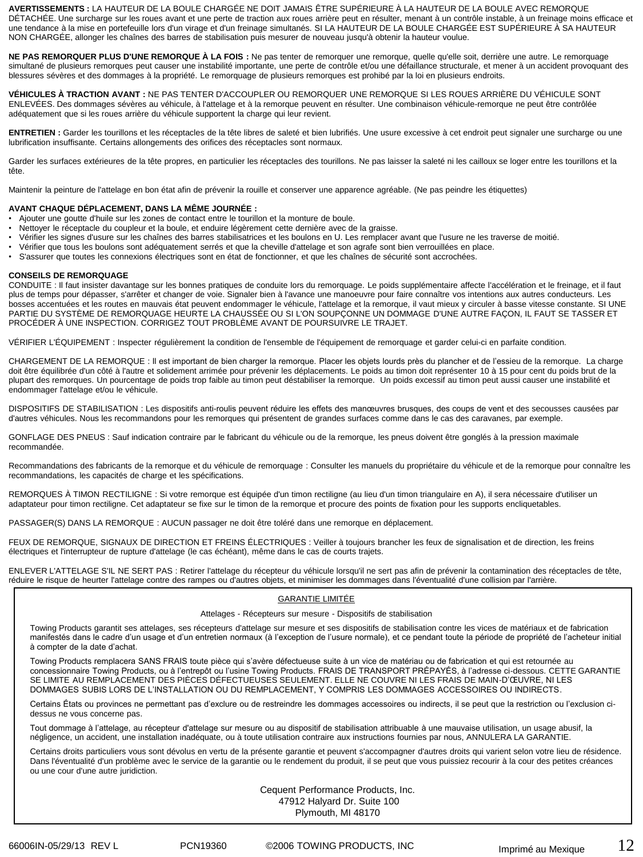**AVERTISSEMENTS :** LA HAUTEUR DE LA BOULE CHARGÉE NE DOIT JAMAIS ÊTRE SUPÉRIEURE À LA HAUTEUR DE LA BOULE AVEC REMORQUE DÉTACHÉE. Une surcharge sur les roues avant et une perte de traction aux roues arrière peut en résulter, menant à un contrôle instable, à un freinage moins efficace et une tendance à la mise en portefeuille lors d'un virage et d'un freinage simultanés. SI LA HAUTEUR DE LA BOULE CHARGÉE EST SUPÉRIEURE À SA HAUTEUR NON CHARGÉE, allonger les chaînes des barres de stabilisation puis mesurer de nouveau jusqu'à obtenir la hauteur voulue.

**NE PAS REMORQUER PLUS D'UNE REMORQUE À LA FOIS :** Ne pas tenter de remorquer une remorque, quelle qu'elle soit, derrière une autre. Le remorquage simultané de plusieurs remorques peut causer une instabilité importante, une perte de contrôle et/ou une défaillance structurale, et mener à un accident provoquant des blessures sévères et des dommages à la propriété. Le remorquage de plusieurs remorques est prohibé par la loi en plusieurs endroits.

**VÉHICULES À TRACTION AVANT :** NE PAS TENTER D'ACCOUPLER OU REMORQUER UNE REMORQUE SI LES ROUES ARRIÈRE DU VÉHICULE SONT ENLEVÉES. Des dommages sévères au véhicule, à l'attelage et à la remorque peuvent en résulter. Une combinaison véhicule-remorque ne peut être contrôlée adéquatement que si les roues arrière du véhicule supportent la charge qui leur revient.

**ENTRETIEN :** Garder les tourillons et les réceptacles de la tête libres de saleté et bien lubrifiés. Une usure excessive à cet endroit peut signaler une surcharge ou une lubrification insuffisante. Certains allongements des orifices des réceptacles sont normaux.

Garder les surfaces extérieures de la tête propres, en particulier les réceptacles des tourillons. Ne pas laisser la saleté ni les cailloux se loger entre les tourillons et la tête.

Maintenir la peinture de l'attelage en bon état afin de prévenir la rouille et conserver une apparence agréable. (Ne pas peindre les étiquettes)

### **AVANT CHAQUE DÉPLACEMENT, DANS LA MÊME JOURNÉE :**

- Ajouter une goutte d'huile sur les zones de contact entre le tourillon et la monture de boule.
- Nettoyer le réceptacle du coupleur et la boule, et enduire légèrement cette dernière avec de la graisse.
- Vérifier les signes d'usure sur les chaînes des barres stabilisatrices et les boulons en U. Les remplacer avant que l'usure ne les traverse de moitié.<br>• Vérifier que tous les boulons sont adéquatement serrés et que la ch
- Vérifier que tous les boulons sont adéquatement serrés et que la cheville d'attelage et son agrafe sont bien verrouillées en place.
- S'assurer que toutes les connexions électriques sont en état de fonctionner, et que les chaînes de sécurité sont accrochées.

### **CONSEILS DE REMORQUAGE**

CONDUITE : Il faut insister davantage sur les bonnes pratiques de conduite lors du remorquage. Le poids supplémentaire affecte l'accélération et le freinage, et il faut plus de temps pour dépasser, s'arrêter et changer de voie. Signaler bien à l'avance une manoeuvre pour faire connaître vos intentions aux autres conducteurs. Les bosses accentuées et les routes en mauvais état peuvent endommager le véhicule, l'attelage et la remorque, il vaut mieux y circuler à basse vitesse constante. SI UNE PARTIE DU SYSTÈME DE REMORQUAGE HEURTE LA CHAUSSÉE OU SI L'ON SOUPÇONNE UN DOMMAGE D'UNE AUTRE FAÇON, IL FAUT SE TASSER ET PROCÉDER À UNE INSPECTION. CORRIGEZ TOUT PROBLÈME AVANT DE POURSUIVRE LE TRAJET.

VÉRIFIER L'ÉQUIPEMENT : Inspecter régulièrement la condition de l'ensemble de l'équipement de remorquage et garder celui-ci en parfaite condition.

CHARGEMENT DE LA REMORQUE : Il est important de bien charger la remorque. Placer les objets lourds près du plancher et de l'essieu de la remorque. La charge doit être équilibrée d'un côté à l'autre et solidement arrimée pour prévenir les déplacements. Le poids au timon doit représenter 10 à 15 pour cent du poids brut de la plupart des remorques. Un pourcentage de poids trop faible au timon peut déstabiliser la remorque. Un poids excessif au timon peut aussi causer une instabilité et endommager l'attelage et/ou le véhicule.

DISPOSITIFS DE STABILISATION : Les dispositifs anti-roulis peuvent réduire les effets des manœuvres brusques, des coups de vent et des secousses causées par d'autres véhicules. Nous les recommandons pour les remorques qui présentent de grandes surfaces comme dans le cas des caravanes, par exemple.

GONFLAGE DES PNEUS : Sauf indication contraire par le fabricant du véhicule ou de la remorque, les pneus doivent être gonglés à la pression maximale recommandée.

Recommandations des fabricants de la remorque et du véhicule de remorquage : Consulter les manuels du propriétaire du véhicule et de la remorque pour connaître les recommandations, les capacités de charge et les spécifications.

REMORQUES À TIMON RECTILIGNE : Si votre remorque est équipée d'un timon rectiligne (au lieu d'un timon triangulaire en A), il sera nécessaire d'utiliser un adaptateur pour timon rectiligne. Cet adaptateur se fixe sur le timon de la remorque et procure des points de fixation pour les supports encliquetables.

PASSAGER(S) DANS LA REMORQUE : AUCUN passager ne doit être toléré dans une remorque en déplacement.

FEUX DE REMORQUE, SIGNAUX DE DIRECTION ET FREINS ÉLECTRIQUES : Veiller à toujours brancher les feux de signalisation et de direction, les freins électriques et l'interrupteur de rupture d'attelage (le cas échéant), même dans le cas de courts trajets.

ENLEVER L'ATTELAGE S'IL NE SERT PAS : Retirer l'attelage du récepteur du véhicule lorsqu'il ne sert pas afin de prévenir la contamination des réceptacles de tête, réduire le risque de heurter l'attelage contre des rampes ou d'autres objets, et minimiser les dommages dans l'éventualité d'une collision par l'arrière.

### GARANTIE LIMITÉE

#### Attelages - Récepteurs sur mesure - Dispositifs de stabilisation

Towing Products garantit ses attelages, ses récepteurs d'attelage sur mesure et ses dispositifs de stabilisation contre les vices de matériaux et de fabrication manifestés dans le cadre d'un usage et d'un entretien normaux (à l'exception de l'usure normale), et ce pendant toute la période de propriété de l'acheteur initial à compter de la date d'achat.

Towing Products remplacera SANS FRAIS toute pièce qui s'avère défectueuse suite à un vice de matériau ou de fabrication et qui est retournée au concessionnaire Towing Products, ou à l'entrepôt ou l'usine Towing Products. FRAIS DE TRANSPORT PRÉPAYÉS, à l'adresse ci-dessous. CETTE GARANTIE SE LIMITE AU REMPLACEMENT DES PIÈCES DÉFECTUEUSES SEULEMENT. ELLE NE COUVRE NI LES FRAIS DE MAIN-D'ŒUVRE, NI LES DOMMAGES SUBIS LORS DE L'INSTALLATION OU DU REMPLACEMENT, Y COMPRIS LES DOMMAGES ACCESSOIRES OU INDIRECTS.

Certains États ou provinces ne permettant pas d'exclure ou de restreindre les dommages accessoires ou indirects, il se peut que la restriction ou l'exclusion cidessus ne vous concerne pas.

Tout dommage à l'attelage, au récepteur d'attelage sur mesure ou au dispositif de stabilisation attribuable à une mauvaise utilisation, un usage abusif, la négligence, un accident, une installation inadéquate, ou à toute utilisation contraire aux instructions fournies par nous, ANNULERA LA GARANTIE.

Certains droits particuliers vous sont dévolus en vertu de la présente garantie et peuvent s'accompagner d'autres droits qui varient selon votre lieu de résidence. Dans l'éventualité d'un problème avec le service de la garantie ou le rendement du produit, il se peut que vous puissiez recourir à la cour des petites créances ou une cour d'une autre juridiction.

> Cequent Performance Products, Inc. 47912 Halyard Dr. Suite 100 Plymouth, MI 48170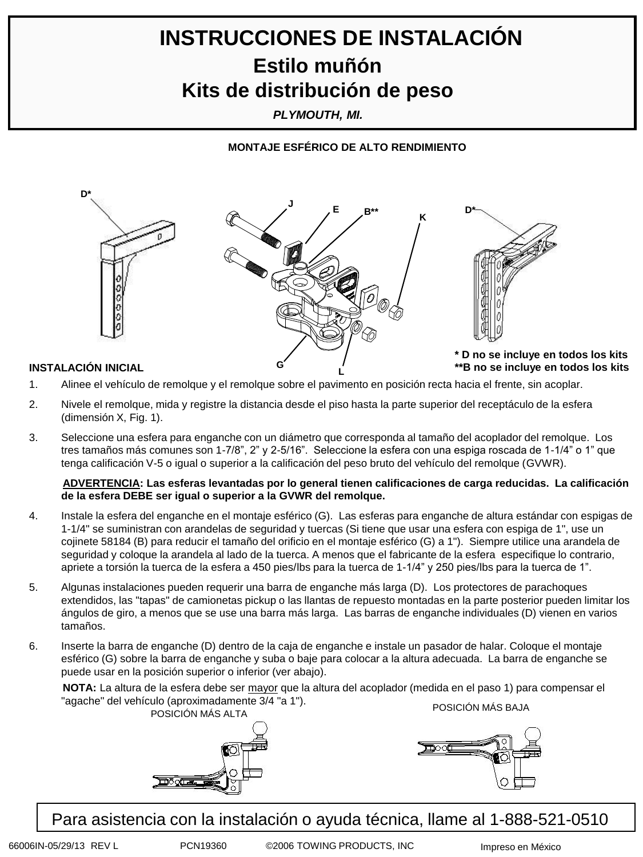# **INSTRUCCIONES DE INSTALACIÓN Estilo muñón Kits de distribución de peso**

*PLYMOUTH, MI.*

**MONTAJE ESFÉRICO DE ALTO RENDIMIENTO**



**L**

- 1. Alinee el vehículo de remolque y el remolque sobre el pavimento en posición recta hacia el frente, sin acoplar.
- 2. Nivele el remolque, mida y registre la distancia desde el piso hasta la parte superior del receptáculo de la esfera (dimensión X, Fig. 1).
- 3. Seleccione una esfera para enganche con un diámetro que corresponda al tamaño del acoplador del remolque. Los tres tamaños más comunes son 1-7/8", 2" y 2-5/16". Seleccione la esfera con una espiga roscada de 1-1/4" o 1" que tenga calificación V-5 o igual o superior a la calificación del peso bruto del vehículo del remolque (GVWR).

### **ADVERTENCIA: Las esferas levantadas por lo general tienen calificaciones de carga reducidas. La calificación de la esfera DEBE ser igual o superior a la GVWR del remolque.**

- 4. Instale la esfera del enganche en el montaje esférico (G). Las esferas para enganche de altura estándar con espigas de 1-1/4" se suministran con arandelas de seguridad y tuercas (Si tiene que usar una esfera con espiga de 1", use un cojinete 58184 (B) para reducir el tamaño del orificio en el montaje esférico (G) a 1"). Siempre utilice una arandela de seguridad y coloque la arandela al lado de la tuerca. A menos que el fabricante de la esfera especifique lo contrario, apriete a torsión la tuerca de la esfera a 450 pies/lbs para la tuerca de 1-1/4" y 250 pies/lbs para la tuerca de 1".
- 5. Algunas instalaciones pueden requerir una barra de enganche más larga (D). Los protectores de parachoques extendidos, las "tapas" de camionetas pickup o las llantas de repuesto montadas en la parte posterior pueden limitar los ángulos de giro, a menos que se use una barra más larga. Las barras de enganche individuales (D) vienen en varios tamaños.
- 6. Inserte la barra de enganche (D) dentro de la caja de enganche e instale un pasador de halar. Coloque el montaje esférico (G) sobre la barra de enganche y suba o baje para colocar a la altura adecuada. La barra de enganche se puede usar en la posición superior o inferior (ver abajo).

**NOTA:** La altura de la esfera debe ser mayor que la altura del acoplador (medida en el paso 1) para compensar el "agache" del vehículo (aproximadamente 3/4 "a 1"). ndo (aproximadamente 5/4 ° a 1).<br>POSICIÓN MÁS ALTA



Para asistencia con la instalación o ayuda técnica, llame al 1-888-521-0510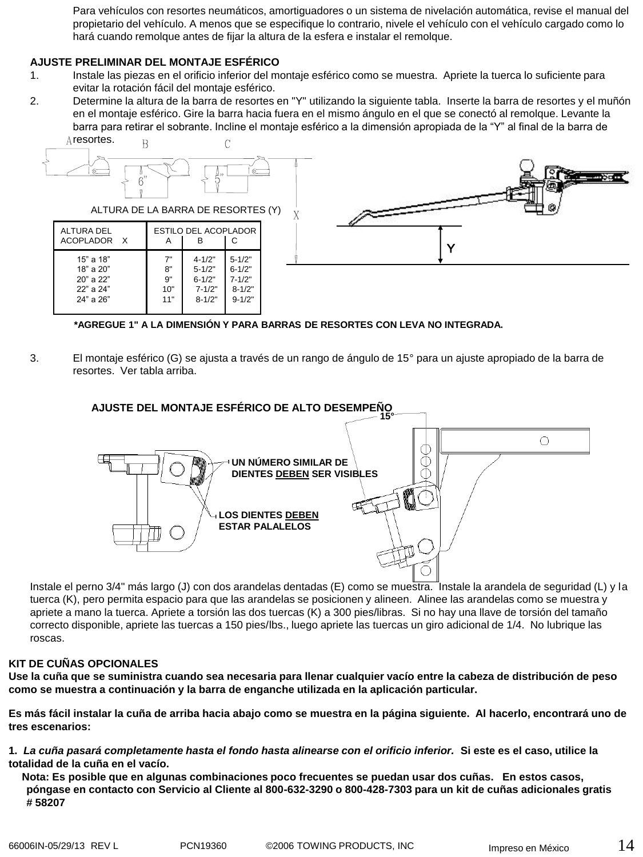Para vehículos con resortes neumáticos, amortiguadores o un sistema de nivelación automática, revise el manual del propietario del vehículo. A menos que se especifique lo contrario, nivele el vehículo con el vehículo cargado como lo hará cuando remolque antes de fijar la altura de la esfera e instalar el remolque.

### **AJUSTE PRELIMINAR DEL MONTAJE ESFÉRICO**

- 1. Instale las piezas en el orificio inferior del montaje esférico como se muestra. Apriete la tuerca lo suficiente para evitar la rotación fácil del montaje esférico.
- 2. Determine la altura de la barra de resortes en "Y" utilizando la siguiente tabla. Inserte la barra de resortes y el muñón en el montaje esférico. Gire la barra hacia fuera en el mismo ángulo en el que se conectó al remolque. Levante la barra para retirar el sobrante. Incline el montaje esférico a la dimensión apropiada de la "Y" al final de la barra de



**\*AGREGUE 1" A LA DIMENSIÓN Y PARA BARRAS DE RESORTES CON LEVA NO INTEGRADA.**

3. El montaje esférico (G) se ajusta a través de un rango de ángulo de 15° para un ajuste apropiado de la barra de resortes. Ver tabla arriba.

### **AJUSTE DEL MONTAJE ESFÉRICO DE ALTO DESEMPEÑO 15°**



Instale el perno 3/4" más largo (J) con dos arandelas dentadas (E) como se muestra. Instale la arandela de seguridad (L) y la tuerca (K), pero permita espacio para que las arandelas se posicionen y alineen. Alinee las arandelas como se muestra y apriete a mano la tuerca. Apriete a torsión las dos tuercas (K) a 300 pies/libras. Si no hay una llave de torsión del tamaño correcto disponible, apriete las tuercas a 150 pies/lbs., luego apriete las tuercas un giro adicional de 1/4. No lubrique las roscas.

### **KIT DE CUÑAS OPCIONALES**

**Use la cuña que se suministra cuando sea necesaria para llenar cualquier vacío entre la cabeza de distribución de peso como se muestra a continuación y la barra de enganche utilizada en la aplicación particular.**

**Es más fácil instalar la cuña de arriba hacia abajo como se muestra en la página siguiente. Al hacerlo, encontrará uno de tres escenarios:**

**1.** *La cuña pasará completamente hasta el fondo hasta alinearse con el orificio inferior.* **Si este es el caso, utilice la totalidad de la cuña en el vacío.** 

 **Nota: Es posible que en algunas combinaciones poco frecuentes se puedan usar dos cuñas. En estos casos, póngase en contacto con Servicio al Cliente al 800-632-3290 o 800-428-7303 para un kit de cuñas adicionales gratis # 58207**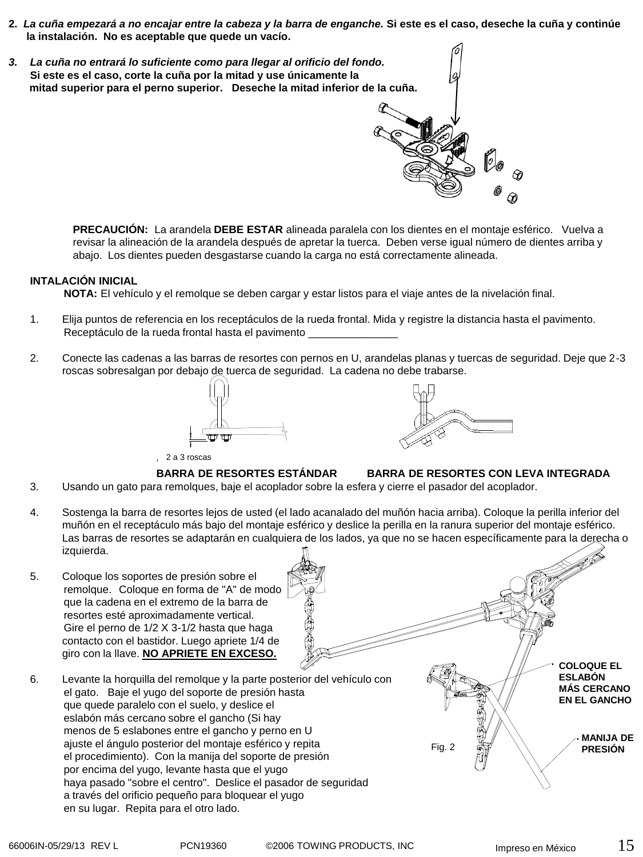- **2.** *La cuña empezará a no encajar entre la cabeza y la barra de enganche.* **Si este es el caso, deseche la cuña y continúe la instalación. No es aceptable que quede un vacío.**
- *3. La cuña no entrará lo suficiente como para llegar al orificio del fondo.*  **Si este es el caso, corte la cuña por la mitad y use únicamente la mitad superior para el perno superior. Deseche la mitad inferior de la cuña.**

**PRECAUCIÓN:** La arandela **DEBE ESTAR** alineada paralela con los dientes en el montaje esférico. Vuelva a revisar la alineación de la arandela después de apretar la tuerca. Deben verse igual número de dientes arriba y abajo. Los dientes pueden desgastarse cuando la carga no está correctamente alineada.

### **INTALACIÓN INICIAL**

**NOTA:** El vehículo y el remolque se deben cargar y estar listos para el viaje antes de la nivelación final.

- 1. Elija puntos de referencia en los receptáculos de la rueda frontal. Mida y registre la distancia hasta el pavimento. Receptáculo de la rueda frontal hasta el pavimento \_
- 2. Conecte las cadenas a las barras de resortes con pernos en U, arandelas planas y tuercas de seguridad. Deje que 2-3 roscas sobresalgan por debajo de tuerca de seguridad. La cadena no debe trabarse.





### 2 a 3 roscas



### **BARRA DE RESORTES ESTÁNDAR BARRA DE RESORTES CON LEVA INTEGRADA**

- 3. Usando un gato para remolques, baje el acoplador sobre la esfera y cierre el pasador del acoplador.
- 4. Sostenga la barra de resortes lejos de usted (el lado acanalado del muñón hacia arriba). Coloque la perilla inferior del muñón en el receptáculo más bajo del montaje esférico y deslice la perilla en la ranura superior del montaje esférico. Las barras de resortes se adaptarán en cualquiera de los lados, ya que no se hacen específicamente para la derecha o izquierda.
- 5. Coloque los soportes de presión sobre el remolque. Coloque en forma de "A" de modo que la cadena en el extremo de la barra de resortes esté aproximadamente vertical. Gire el perno de 1/2 X 3-1/2 hasta que haga contacto con el bastidor. Luego apriete 1/4 de giro con la llave. **NO APRIETE EN EXCESO.**
- 6. Levante la horquilla del remolque y la parte posterior del vehículo con el gato. Baje el yugo del soporte de presión hasta que quede paralelo con el suelo, y deslice el eslabón más cercano sobre el gancho (Si hay menos de 5 eslabones entre el gancho y perno en U ajuste el ángulo posterior del montaje esférico y repita el procedimiento). Con la manija del soporte de presión por encima del yugo, levante hasta que el yugo haya pasado "sobre el centro". Deslice el pasador de seguridad a través del orificio pequeño para bloquear el yugo en su lugar. Repita para el otro lado.

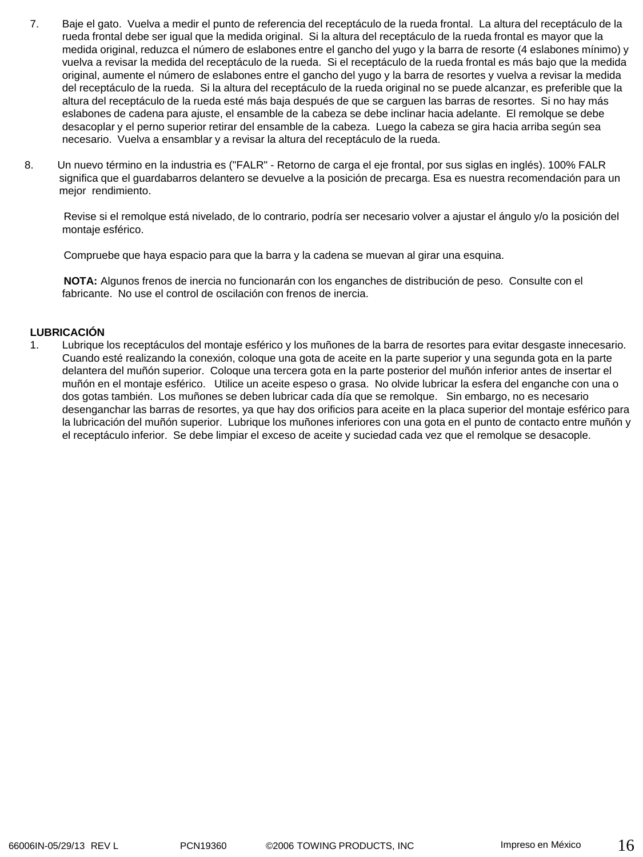- 7. Baje el gato. Vuelva a medir el punto de referencia del receptáculo de la rueda frontal. La altura del receptáculo de la rueda frontal debe ser igual que la medida original. Si la altura del receptáculo de la rueda frontal es mayor que la medida original, reduzca el número de eslabones entre el gancho del yugo y la barra de resorte (4 eslabones mínimo) y vuelva a revisar la medida del receptáculo de la rueda. Si el receptáculo de la rueda frontal es más bajo que la medida original, aumente el número de eslabones entre el gancho del yugo y la barra de resortes y vuelva a revisar la medida del receptáculo de la rueda. Si la altura del receptáculo de la rueda original no se puede alcanzar, es preferible que la altura del receptáculo de la rueda esté más baja después de que se carguen las barras de resortes. Si no hay más eslabones de cadena para ajuste, el ensamble de la cabeza se debe inclinar hacia adelante. El remolque se debe desacoplar y el perno superior retirar del ensamble de la cabeza. Luego la cabeza se gira hacia arriba según sea necesario. Vuelva a ensamblar y a revisar la altura del receptáculo de la rueda.
- 8. Un nuevo término en la industria es ("FALR" Retorno de carga el eje frontal, por sus siglas en inglés). 100% FALR significa que el guardabarros delantero se devuelve a la posición de precarga. Esa es nuestra recomendación para un mejor rendimiento.

Revise si el remolque está nivelado, de lo contrario, podría ser necesario volver a ajustar el ángulo y/o la posición del montaje esférico.

Compruebe que haya espacio para que la barra y la cadena se muevan al girar una esquina.

**NOTA:** Algunos frenos de inercia no funcionarán con los enganches de distribución de peso. Consulte con el fabricante. No use el control de oscilación con frenos de inercia.

### **LUBRICACIÓN**

1. Lubrique los receptáculos del montaje esférico y los muñones de la barra de resortes para evitar desgaste innecesario. Cuando esté realizando la conexión, coloque una gota de aceite en la parte superior y una segunda gota en la parte delantera del muñón superior. Coloque una tercera gota en la parte posterior del muñón inferior antes de insertar el muñón en el montaje esférico. Utilice un aceite espeso o grasa. No olvide lubricar la esfera del enganche con una o dos gotas también. Los muñones se deben lubricar cada día que se remolque. Sin embargo, no es necesario desenganchar las barras de resortes, ya que hay dos orificios para aceite en la placa superior del montaje esférico para la lubricación del muñón superior. Lubrique los muñones inferiores con una gota en el punto de contacto entre muñón y el receptáculo inferior. Se debe limpiar el exceso de aceite y suciedad cada vez que el remolque se desacople.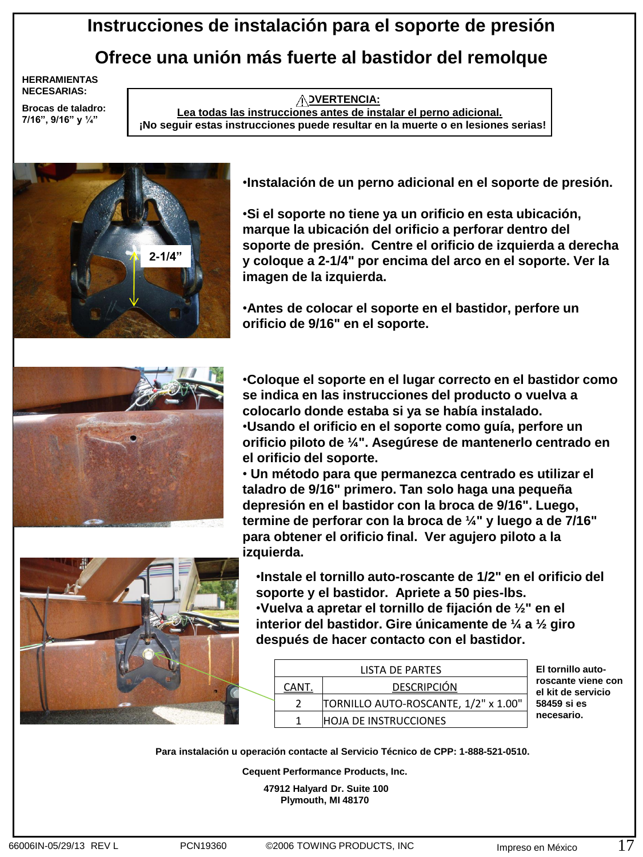# **Instrucciones de instalación para el soporte de presión Ofrece una unión más fuerte al bastidor del remolque**

**HERRAMIENTAS NECESARIAS:** 

**Brocas de taladro: 7/16", 9/16" y ¼"**

**ADVERTENCIA: Lea todas las instrucciones antes de instalar el perno adicional. ¡No seguir estas instrucciones puede resultar en la muerte o en lesiones serias!**



•**Instalación de un perno adicional en el soporte de presión.**

•**Si el soporte no tiene ya un orificio en esta ubicación, marque la ubicación del orificio a perforar dentro del soporte de presión. Centre el orificio de izquierda a derecha y coloque a 2-1/4" por encima del arco en el soporte. Ver la imagen de la izquierda.**

•**Antes de colocar el soporte en el bastidor, perfore un orificio de 9/16" en el soporte.** 



•**Coloque el soporte en el lugar correcto en el bastidor como se indica en las instrucciones del producto o vuelva a colocarlo donde estaba si ya se había instalado.** •**Usando el orificio en el soporte como guía, perfore un orificio piloto de ¼". Asegúrese de mantenerlo centrado en el orificio del soporte.**

• **Un método para que permanezca centrado es utilizar el taladro de 9/16" primero. Tan solo haga una pequeña depresión en el bastidor con la broca de 9/16". Luego, termine de perforar con la broca de ¼" y luego a de 7/16" para obtener el orificio final. Ver agujero piloto a la izquierda.**



•**Instale el tornillo auto-roscante de 1/2" en el orificio del soporte y el bastidor. Apriete a 50 pies-lbs.** •**Vuelva a apretar el tornillo de fijación de ½" en el interior del bastidor. Gire únicamente de ¼ a ½ giro después de hacer contacto con el bastidor.** 

|  | LISTA DE PARTES |                                      |  |
|--|-----------------|--------------------------------------|--|
|  | CANT.           | <b>DESCRIPCIÓN</b>                   |  |
|  |                 | TORNILLO AUTO-ROSCANTE, 1/2" x 1.00" |  |
|  |                 | <b>HOJA DE INSTRUCCIONES</b>         |  |

**El tornillo autoroscante viene con el kit de servicio 58459 si es necesario.**

**Para instalación u operación contacte al Servicio Técnico de CPP: 1-888-521-0510.** 

**Cequent Performance Products, Inc.**

**47912 Halyard Dr. Suite 100 Plymouth, MI 48170**